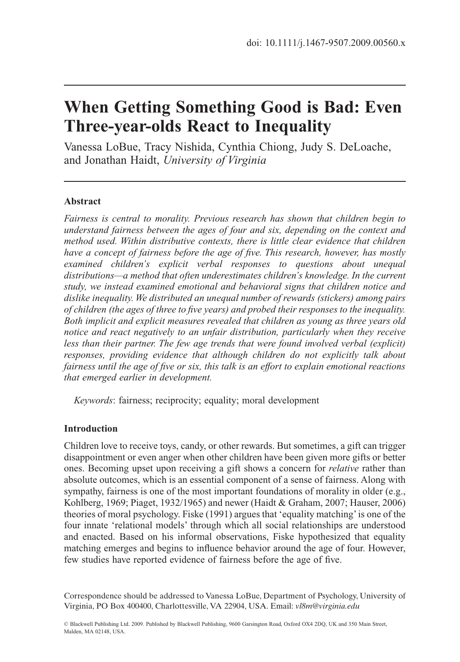# **When Getting Something Good is Bad: Even Three-year-olds React to Inequality**

Vanessa LoBue, Tracy Nishida, Cynthia Chiong, Judy S. DeLoache, and Jonathan Haidt, *University of Virginia*

# **Abstract**

*Fairness is central to morality. Previous research has shown that children begin to understand fairness between the ages of four and six, depending on the context and method used. Within distributive contexts, there is little clear evidence that children have a concept of fairness before the age of five. This research, however, has mostly examined children's explicit verbal responses to questions about unequal distributions—a method that often underestimates children's knowledge. In the current study, we instead examined emotional and behavioral signs that children notice and dislike inequality. We distributed an unequal number of rewards (stickers) among pairs of children (the ages of three to five years) and probed their responses to the inequality. Both implicit and explicit measures revealed that children as young as three years old notice and react negatively to an unfair distribution, particularly when they receive less than their partner. The few age trends that were found involved verbal (explicit) responses, providing evidence that although children do not explicitly talk about fairness until the age of five or six, this talk is an effort to explain emotional reactions that emerged earlier in development.*

*Keywords*: fairness; reciprocity; equality; moral development

# **Introduction**

Children love to receive toys, candy, or other rewards. But sometimes, a gift can trigger disappointment or even anger when other children have been given more gifts or better ones. Becoming upset upon receiving a gift shows a concern for *relative* rather than absolute outcomes, which is an essential component of a sense of fairness. Along with sympathy, fairness is one of the most important foundations of morality in older (e.g., Kohlberg, 1969; Piaget, 1932/1965) and newer (Haidt & Graham, 2007; Hauser, 2006) theories of moral psychology. Fiske (1991) argues that 'equality matching' is one of the four innate 'relational models' through which all social relationships are understood and enacted. Based on his informal observations, Fiske hypothesized that equality matching emerges and begins to influence behavior around the age of four. However, few studies have reported evidence of fairness before the age of five.

Correspondence should be addressed to Vanessa LoBue, Department of Psychology, University of Virginia, PO Box 400400, Charlottesville, VA 22904, USA. Email: *vl8m@virginia.edu*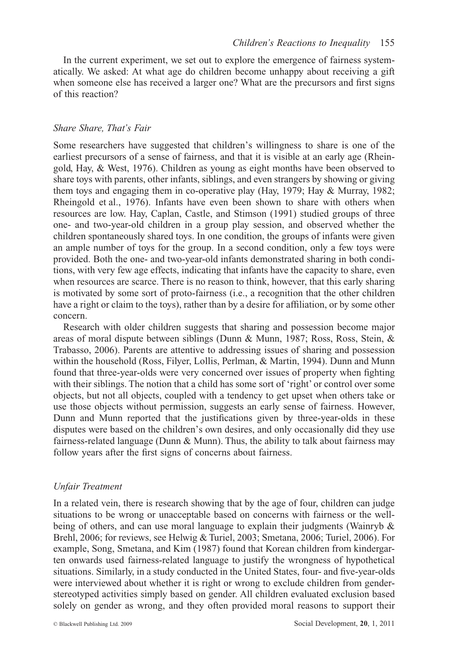In the current experiment, we set out to explore the emergence of fairness systematically. We asked: At what age do children become unhappy about receiving a gift when someone else has received a larger one? What are the precursors and first signs of this reaction?

## *Share Share, That's Fair*

Some researchers have suggested that children's willingness to share is one of the earliest precursors of a sense of fairness, and that it is visible at an early age (Rheingold, Hay, & West, 1976). Children as young as eight months have been observed to share toys with parents, other infants, siblings, and even strangers by showing or giving them toys and engaging them in co-operative play (Hay, 1979; Hay & Murray, 1982; Rheingold et al., 1976). Infants have even been shown to share with others when resources are low. Hay, Caplan, Castle, and Stimson (1991) studied groups of three one- and two-year-old children in a group play session, and observed whether the children spontaneously shared toys. In one condition, the groups of infants were given an ample number of toys for the group. In a second condition, only a few toys were provided. Both the one- and two-year-old infants demonstrated sharing in both conditions, with very few age effects, indicating that infants have the capacity to share, even when resources are scarce. There is no reason to think, however, that this early sharing is motivated by some sort of proto-fairness (i.e., a recognition that the other children have a right or claim to the toys), rather than by a desire for affiliation, or by some other concern.

Research with older children suggests that sharing and possession become major areas of moral dispute between siblings (Dunn & Munn, 1987; Ross, Ross, Stein, & Trabasso, 2006). Parents are attentive to addressing issues of sharing and possession within the household (Ross, Filyer, Lollis, Perlman, & Martin, 1994). Dunn and Munn found that three-year-olds were very concerned over issues of property when fighting with their siblings. The notion that a child has some sort of 'right' or control over some objects, but not all objects, coupled with a tendency to get upset when others take or use those objects without permission, suggests an early sense of fairness. However, Dunn and Munn reported that the justifications given by three-year-olds in these disputes were based on the children's own desires, and only occasionally did they use fairness-related language (Dunn & Munn). Thus, the ability to talk about fairness may follow years after the first signs of concerns about fairness.

#### *Unfair Treatment*

In a related vein, there is research showing that by the age of four, children can judge situations to be wrong or unacceptable based on concerns with fairness or the wellbeing of others, and can use moral language to explain their judgments (Wainryb & Brehl, 2006; for reviews, see Helwig & Turiel, 2003; Smetana, 2006; Turiel, 2006). For example, Song, Smetana, and Kim (1987) found that Korean children from kindergarten onwards used fairness-related language to justify the wrongness of hypothetical situations. Similarly, in a study conducted in the United States, four- and five-year-olds were interviewed about whether it is right or wrong to exclude children from genderstereotyped activities simply based on gender. All children evaluated exclusion based solely on gender as wrong, and they often provided moral reasons to support their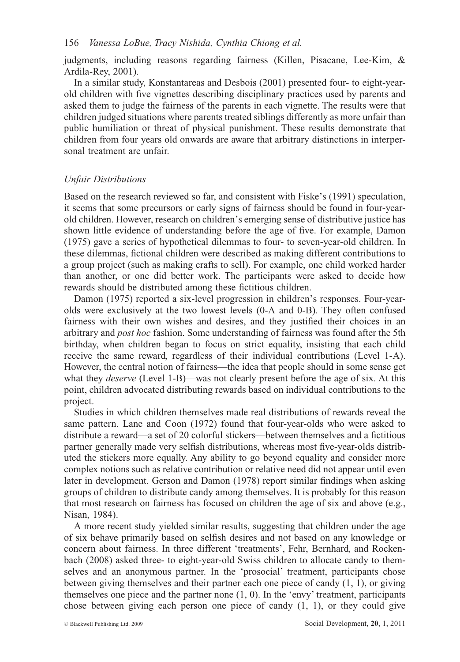judgments, including reasons regarding fairness (Killen, Pisacane, Lee-Kim, & Ardila-Rey, 2001).

In a similar study, Konstantareas and Desbois (2001) presented four- to eight-yearold children with five vignettes describing disciplinary practices used by parents and asked them to judge the fairness of the parents in each vignette. The results were that children judged situations where parents treated siblings differently as more unfair than public humiliation or threat of physical punishment. These results demonstrate that children from four years old onwards are aware that arbitrary distinctions in interpersonal treatment are unfair.

#### *Unfair Distributions*

Based on the research reviewed so far, and consistent with Fiske's (1991) speculation, it seems that some precursors or early signs of fairness should be found in four-yearold children. However, research on children's emerging sense of distributive justice has shown little evidence of understanding before the age of five. For example, Damon (1975) gave a series of hypothetical dilemmas to four- to seven-year-old children. In these dilemmas, fictional children were described as making different contributions to a group project (such as making crafts to sell). For example, one child worked harder than another, or one did better work. The participants were asked to decide how rewards should be distributed among these fictitious children.

Damon (1975) reported a six-level progression in children's responses. Four-yearolds were exclusively at the two lowest levels (0-A and 0-B). They often confused fairness with their own wishes and desires, and they justified their choices in an arbitrary and *post hoc* fashion. Some understanding of fairness was found after the 5th birthday, when children began to focus on strict equality, insisting that each child receive the same reward, regardless of their individual contributions (Level 1-A). However, the central notion of fairness—the idea that people should in some sense get what they *deserve* (Level 1-B)—was not clearly present before the age of six. At this point, children advocated distributing rewards based on individual contributions to the project.

Studies in which children themselves made real distributions of rewards reveal the same pattern. Lane and Coon (1972) found that four-year-olds who were asked to distribute a reward—a set of 20 colorful stickers—between themselves and a fictitious partner generally made very selfish distributions, whereas most five-year-olds distributed the stickers more equally. Any ability to go beyond equality and consider more complex notions such as relative contribution or relative need did not appear until even later in development. Gerson and Damon (1978) report similar findings when asking groups of children to distribute candy among themselves. It is probably for this reason that most research on fairness has focused on children the age of six and above (e.g., Nisan, 1984).

A more recent study yielded similar results, suggesting that children under the age of six behave primarily based on selfish desires and not based on any knowledge or concern about fairness. In three different 'treatments', Fehr, Bernhard, and Rockenbach (2008) asked three- to eight-year-old Swiss children to allocate candy to themselves and an anonymous partner. In the 'prosocial' treatment, participants chose between giving themselves and their partner each one piece of candy (1, 1), or giving themselves one piece and the partner none  $(1, 0)$ . In the 'envy' treatment, participants chose between giving each person one piece of candy (1, 1), or they could give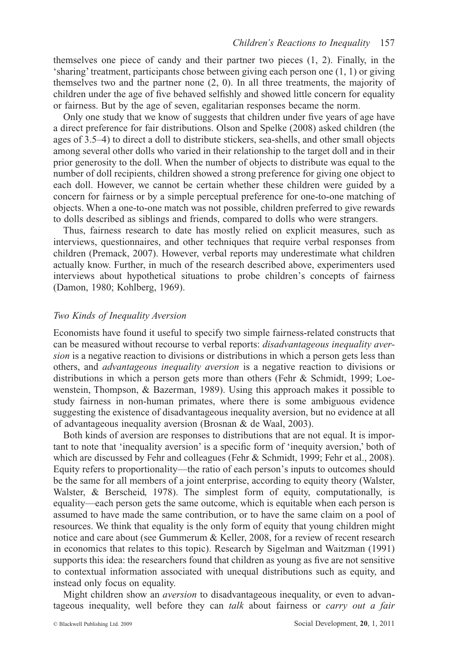themselves one piece of candy and their partner two pieces (1, 2). Finally, in the 'sharing' treatment, participants chose between giving each person one (1, 1) or giving themselves two and the partner none (2, 0). In all three treatments, the majority of children under the age of five behaved selfishly and showed little concern for equality or fairness. But by the age of seven, egalitarian responses became the norm.

Only one study that we know of suggests that children under five years of age have a direct preference for fair distributions. Olson and Spelke (2008) asked children (the ages of 3.5–4) to direct a doll to distribute stickers, sea-shells, and other small objects among several other dolls who varied in their relationship to the target doll and in their prior generosity to the doll. When the number of objects to distribute was equal to the number of doll recipients, children showed a strong preference for giving one object to each doll. However, we cannot be certain whether these children were guided by a concern for fairness or by a simple perceptual preference for one-to-one matching of objects. When a one-to-one match was not possible, children preferred to give rewards to dolls described as siblings and friends, compared to dolls who were strangers.

Thus, fairness research to date has mostly relied on explicit measures, such as interviews, questionnaires, and other techniques that require verbal responses from children (Premack, 2007). However, verbal reports may underestimate what children actually know. Further, in much of the research described above, experimenters used interviews about hypothetical situations to probe children's concepts of fairness (Damon, 1980; Kohlberg, 1969).

## *Two Kinds of Inequality Aversion*

Economists have found it useful to specify two simple fairness-related constructs that can be measured without recourse to verbal reports: *disadvantageous inequality aversion* is a negative reaction to divisions or distributions in which a person gets less than others, and *advantageous inequality aversion* is a negative reaction to divisions or distributions in which a person gets more than others (Fehr & Schmidt, 1999; Loewenstein, Thompson, & Bazerman, 1989). Using this approach makes it possible to study fairness in non-human primates, where there is some ambiguous evidence suggesting the existence of disadvantageous inequality aversion, but no evidence at all of advantageous inequality aversion (Brosnan & de Waal, 2003).

Both kinds of aversion are responses to distributions that are not equal. It is important to note that 'inequality aversion' is a specific form of 'inequity aversion,' both of which are discussed by Fehr and colleagues (Fehr & Schmidt, 1999; Fehr et al., 2008). Equity refers to proportionality—the ratio of each person's inputs to outcomes should be the same for all members of a joint enterprise, according to equity theory (Walster, Walster, & Berscheid, 1978). The simplest form of equity, computationally, is equality—each person gets the same outcome, which is equitable when each person is assumed to have made the same contribution, or to have the same claim on a pool of resources. We think that equality is the only form of equity that young children might notice and care about (see Gummerum & Keller, 2008, for a review of recent research in economics that relates to this topic). Research by Sigelman and Waitzman (1991) supports this idea: the researchers found that children as young as five are not sensitive to contextual information associated with unequal distributions such as equity, and instead only focus on equality.

Might children show an *aversion* to disadvantageous inequality, or even to advantageous inequality, well before they can *talk* about fairness or *carry out a fair*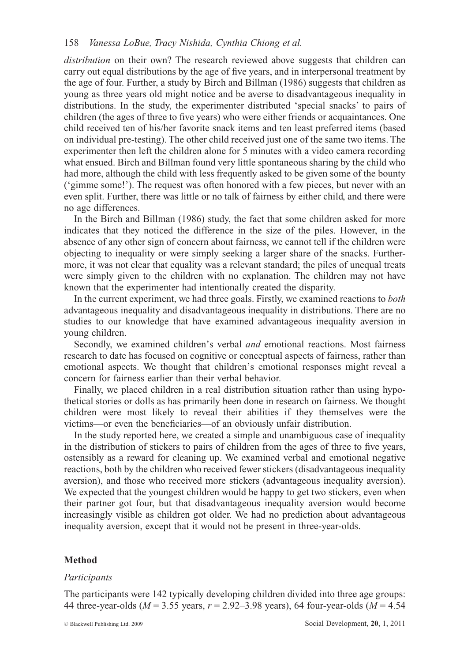*distribution* on their own? The research reviewed above suggests that children can carry out equal distributions by the age of five years, and in interpersonal treatment by the age of four. Further, a study by Birch and Billman (1986) suggests that children as young as three years old might notice and be averse to disadvantageous inequality in distributions. In the study, the experimenter distributed 'special snacks' to pairs of children (the ages of three to five years) who were either friends or acquaintances. One child received ten of his/her favorite snack items and ten least preferred items (based on individual pre-testing). The other child received just one of the same two items. The experimenter then left the children alone for 5 minutes with a video camera recording what ensued. Birch and Billman found very little spontaneous sharing by the child who had more, although the child with less frequently asked to be given some of the bounty ('gimme some!'). The request was often honored with a few pieces, but never with an even split. Further, there was little or no talk of fairness by either child, and there were no age differences.

In the Birch and Billman (1986) study, the fact that some children asked for more indicates that they noticed the difference in the size of the piles. However, in the absence of any other sign of concern about fairness, we cannot tell if the children were objecting to inequality or were simply seeking a larger share of the snacks. Furthermore, it was not clear that equality was a relevant standard; the piles of unequal treats were simply given to the children with no explanation. The children may not have known that the experimenter had intentionally created the disparity.

In the current experiment, we had three goals. Firstly, we examined reactions to *both* advantageous inequality and disadvantageous inequality in distributions. There are no studies to our knowledge that have examined advantageous inequality aversion in young children.

Secondly, we examined children's verbal *and* emotional reactions. Most fairness research to date has focused on cognitive or conceptual aspects of fairness, rather than emotional aspects. We thought that children's emotional responses might reveal a concern for fairness earlier than their verbal behavior.

Finally, we placed children in a real distribution situation rather than using hypothetical stories or dolls as has primarily been done in research on fairness. We thought children were most likely to reveal their abilities if they themselves were the victims—or even the beneficiaries—of an obviously unfair distribution.

In the study reported here, we created a simple and unambiguous case of inequality in the distribution of stickers to pairs of children from the ages of three to five years, ostensibly as a reward for cleaning up. We examined verbal and emotional negative reactions, both by the children who received fewer stickers (disadvantageous inequality aversion), and those who received more stickers (advantageous inequality aversion). We expected that the youngest children would be happy to get two stickers, even when their partner got four, but that disadvantageous inequality aversion would become increasingly visible as children got older. We had no prediction about advantageous inequality aversion, except that it would not be present in three-year-olds.

## **Method**

#### *Participants*

The participants were 142 typically developing children divided into three age groups: 44 three-year-olds (*M* = 3.55 years, *r* = 2.92–3.98 years), 64 four-year-olds (*M* = 4.54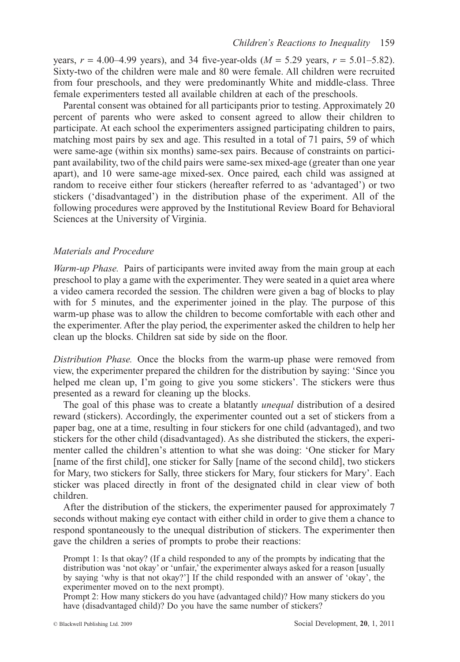years,  $r = 4.00-4.99$  years), and 34 five-year-olds  $(M = 5.29$  years,  $r = 5.01-5.82$ . Sixty-two of the children were male and 80 were female. All children were recruited from four preschools, and they were predominantly White and middle-class. Three female experimenters tested all available children at each of the preschools.

Parental consent was obtained for all participants prior to testing. Approximately 20 percent of parents who were asked to consent agreed to allow their children to participate. At each school the experimenters assigned participating children to pairs, matching most pairs by sex and age. This resulted in a total of 71 pairs, 59 of which were same-age (within six months) same-sex pairs. Because of constraints on participant availability, two of the child pairs were same-sex mixed-age (greater than one year apart), and 10 were same-age mixed-sex. Once paired, each child was assigned at random to receive either four stickers (hereafter referred to as 'advantaged') or two stickers ('disadvantaged') in the distribution phase of the experiment. All of the following procedures were approved by the Institutional Review Board for Behavioral Sciences at the University of Virginia.

## *Materials and Procedure*

*Warm-up Phase.* Pairs of participants were invited away from the main group at each preschool to play a game with the experimenter. They were seated in a quiet area where a video camera recorded the session. The children were given a bag of blocks to play with for 5 minutes, and the experimenter joined in the play. The purpose of this warm-up phase was to allow the children to become comfortable with each other and the experimenter. After the play period, the experimenter asked the children to help her clean up the blocks. Children sat side by side on the floor.

*Distribution Phase.* Once the blocks from the warm-up phase were removed from view, the experimenter prepared the children for the distribution by saying: 'Since you helped me clean up, I'm going to give you some stickers'. The stickers were thus presented as a reward for cleaning up the blocks.

The goal of this phase was to create a blatantly *unequal* distribution of a desired reward (stickers). Accordingly, the experimenter counted out a set of stickers from a paper bag, one at a time, resulting in four stickers for one child (advantaged), and two stickers for the other child (disadvantaged). As she distributed the stickers, the experimenter called the children's attention to what she was doing: 'One sticker for Mary [name of the first child], one sticker for Sally [name of the second child], two stickers for Mary, two stickers for Sally, three stickers for Mary, four stickers for Mary'. Each sticker was placed directly in front of the designated child in clear view of both children.

After the distribution of the stickers, the experimenter paused for approximately 7 seconds without making eye contact with either child in order to give them a chance to respond spontaneously to the unequal distribution of stickers. The experimenter then gave the children a series of prompts to probe their reactions:

Prompt 1: Is that okay? (If a child responded to any of the prompts by indicating that the distribution was 'not okay' or 'unfair,' the experimenter always asked for a reason [usually by saying 'why is that not okay?'] If the child responded with an answer of 'okay', the experimenter moved on to the next prompt).

Prompt 2: How many stickers do you have (advantaged child)? How many stickers do you have (disadvantaged child)? Do you have the same number of stickers?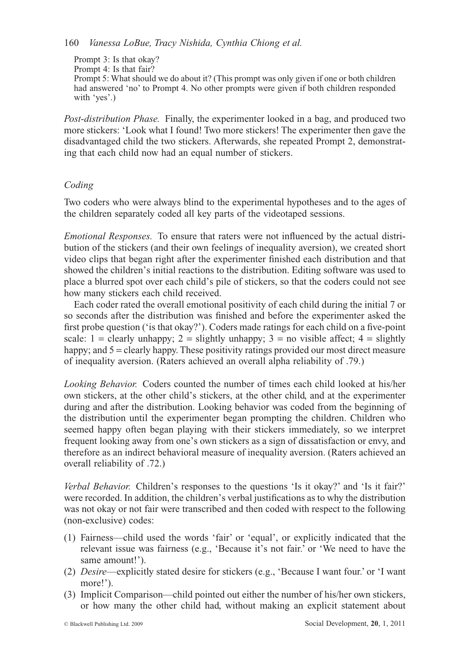Prompt 3: Is that okay? Prompt 4: Is that fair? Prompt 5: What should we do about it? (This prompt was only given if one or both children had answered 'no' to Prompt 4. No other prompts were given if both children responded with 'yes'.)

*Post-distribution Phase.* Finally, the experimenter looked in a bag, and produced two more stickers: 'Look what I found! Two more stickers! The experimenter then gave the disadvantaged child the two stickers. Afterwards, she repeated Prompt 2, demonstrating that each child now had an equal number of stickers.

# *Coding*

Two coders who were always blind to the experimental hypotheses and to the ages of the children separately coded all key parts of the videotaped sessions.

*Emotional Responses.* To ensure that raters were not influenced by the actual distribution of the stickers (and their own feelings of inequality aversion), we created short video clips that began right after the experimenter finished each distribution and that showed the children's initial reactions to the distribution. Editing software was used to place a blurred spot over each child's pile of stickers, so that the coders could not see how many stickers each child received.

Each coder rated the overall emotional positivity of each child during the initial 7 or so seconds after the distribution was finished and before the experimenter asked the first probe question ('is that okay?'). Coders made ratings for each child on a five-point scale:  $1 =$  clearly unhappy;  $2 =$  slightly unhappy;  $3 =$  no visible affect;  $4 =$  slightly happy; and  $5 =$  clearly happy. These positivity ratings provided our most direct measure of inequality aversion. (Raters achieved an overall alpha reliability of .79.)

*Looking Behavior.* Coders counted the number of times each child looked at his/her own stickers, at the other child's stickers, at the other child, and at the experimenter during and after the distribution. Looking behavior was coded from the beginning of the distribution until the experimenter began prompting the children. Children who seemed happy often began playing with their stickers immediately, so we interpret frequent looking away from one's own stickers as a sign of dissatisfaction or envy, and therefore as an indirect behavioral measure of inequality aversion. (Raters achieved an overall reliability of .72.)

*Verbal Behavior.* Children's responses to the questions 'Is it okay?' and 'Is it fair?' were recorded. In addition, the children's verbal justifications as to why the distribution was not okay or not fair were transcribed and then coded with respect to the following (non-exclusive) codes:

- (1) Fairness—child used the words 'fair' or 'equal', or explicitly indicated that the relevant issue was fairness (e.g., 'Because it's not fair.' or 'We need to have the same amount!').
- (2) *Desire*—explicitly stated desire for stickers (e.g., 'Because I want four.' or 'I want more!').
- (3) Implicit Comparison—child pointed out either the number of his/her own stickers, or how many the other child had, without making an explicit statement about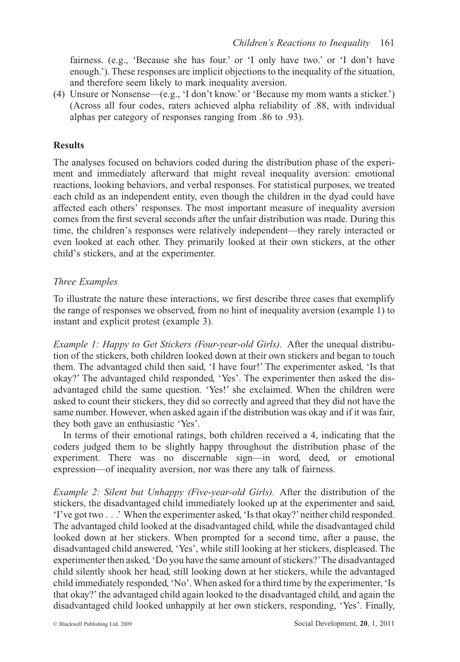fairness. (e.g., 'Because she has four.' or 'I only have two.' or 'I don't have enough.'). These responses are implicit objections to the inequality of the situation, and therefore seem likely to mark inequality aversion.

(4) Unsure or Nonsense—(e.g., 'I don't know.' or 'Because my mom wants a sticker.') (Across all four codes, raters achieved alpha reliability of .88, with individual alphas per category of responses ranging from .86 to .93).

# **Results**

The analyses focused on behaviors coded during the distribution phase of the experiment and immediately afterward that might reveal inequality aversion: emotional reactions, looking behaviors, and verbal responses. For statistical purposes, we treated each child as an independent entity, even though the children in the dyad could have affected each others' responses. The most important measure of inequality aversion comes from the first several seconds after the unfair distribution was made. During this time, the children's responses were relatively independent—they rarely interacted or even looked at each other. They primarily looked at their own stickers, at the other child's stickers, and at the experimenter.

# *Three Examples*

To illustrate the nature these interactions, we first describe three cases that exemplify the range of responses we observed, from no hint of inequality aversion (example 1) to instant and explicit protest (example 3).

*Example 1: Happy to Get Stickers (Four-year-old Girls).* After the unequal distribution of the stickers, both children looked down at their own stickers and began to touch them. The advantaged child then said, 'I have four!' The experimenter asked, 'Is that okay?' The advantaged child responded, 'Yes'. The experimenter then asked the disadvantaged child the same question. 'Yes!' she exclaimed. When the children were asked to count their stickers, they did so correctly and agreed that they did not have the same number. However, when asked again if the distribution was okay and if it was fair, they both gave an enthusiastic 'Yes'.

In terms of their emotional ratings, both children received a 4, indicating that the coders judged them to be slightly happy throughout the distribution phase of the experiment. There was no discernable sign—in word, deed, or emotional expression—of inequality aversion, nor was there any talk of fairness.

*Example 2: Silent but Unhappy (Five-year-old Girls).* After the distribution of the stickers, the disadvantaged child immediately looked up at the experimenter and said, 'I've got two . . .' When the experimenter asked, 'Is that okay?'neither child responded. The advantaged child looked at the disadvantaged child, while the disadvantaged child looked down at her stickers. When prompted for a second time, after a pause, the disadvantaged child answered, 'Yes', while still looking at her stickers, displeased. The experimenter then asked, 'Do you have the same amount of stickers?'The disadvantaged child silently shook her head, still looking down at her stickers, while the advantaged child immediately responded, 'No'. When asked for a third time by the experimenter, 'Is that okay?' the advantaged child again looked to the disadvantaged child, and again the disadvantaged child looked unhappily at her own stickers, responding, 'Yes'. Finally,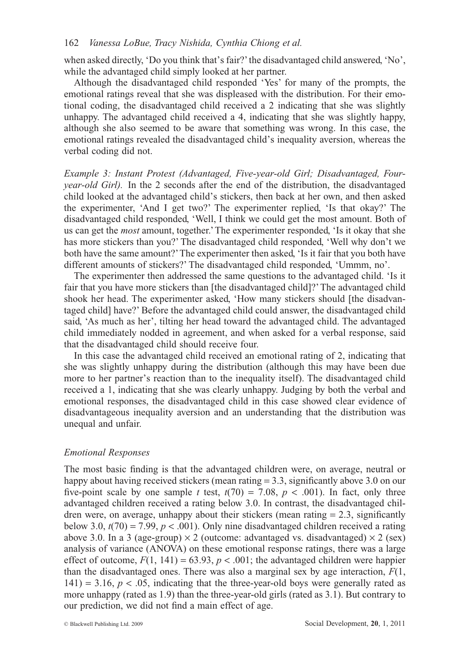when asked directly, 'Do you think that's fair?'the disadvantaged child answered, 'No', while the advantaged child simply looked at her partner.

Although the disadvantaged child responded 'Yes' for many of the prompts, the emotional ratings reveal that she was displeased with the distribution. For their emotional coding, the disadvantaged child received a 2 indicating that she was slightly unhappy. The advantaged child received a 4, indicating that she was slightly happy, although she also seemed to be aware that something was wrong. In this case, the emotional ratings revealed the disadvantaged child's inequality aversion, whereas the verbal coding did not.

*Example 3: Instant Protest (Advantaged, Five-year-old Girl; Disadvantaged, Fouryear-old Girl).* In the 2 seconds after the end of the distribution, the disadvantaged child looked at the advantaged child's stickers, then back at her own, and then asked the experimenter, 'And I get two?' The experimenter replied, 'Is that okay?' The disadvantaged child responded, 'Well, I think we could get the most amount. Both of us can get the *most* amount, together.'The experimenter responded, 'Is it okay that she has more stickers than you?' The disadvantaged child responded, 'Well why don't we both have the same amount?'The experimenter then asked, 'Is it fair that you both have different amounts of stickers?' The disadvantaged child responded, 'Ummm, no'.

The experimenter then addressed the same questions to the advantaged child. 'Is it fair that you have more stickers than [the disadvantaged child]?' The advantaged child shook her head. The experimenter asked, 'How many stickers should [the disadvantaged child] have?' Before the advantaged child could answer, the disadvantaged child said, 'As much as her', tilting her head toward the advantaged child. The advantaged child immediately nodded in agreement, and when asked for a verbal response, said that the disadvantaged child should receive four.

In this case the advantaged child received an emotional rating of 2, indicating that she was slightly unhappy during the distribution (although this may have been due more to her partner's reaction than to the inequality itself). The disadvantaged child received a 1, indicating that she was clearly unhappy. Judging by both the verbal and emotional responses, the disadvantaged child in this case showed clear evidence of disadvantageous inequality aversion and an understanding that the distribution was unequal and unfair.

## *Emotional Responses*

The most basic finding is that the advantaged children were, on average, neutral or happy about having received stickers (mean rating = 3.3, significantly above 3.0 on our five-point scale by one sample *t* test,  $t(70) = 7.08$ ,  $p < .001$ ). In fact, only three advantaged children received a rating below 3.0. In contrast, the disadvantaged children were, on average, unhappy about their stickers (mean rating = 2.3, significantly below 3.0,  $t(70) = 7.99$ ,  $p < .001$ ). Only nine disadvantaged children received a rating above 3.0. In a 3 (age-group)  $\times$  2 (outcome: advantaged vs. disadvantaged)  $\times$  2 (sex) analysis of variance (ANOVA) on these emotional response ratings, there was a large effect of outcome,  $F(1, 141) = 63.93$ ,  $p < .001$ ; the advantaged children were happier than the disadvantaged ones. There was also a marginal sex by age interaction,  $F(1)$ ,  $141$ ) = 3.16,  $p < .05$ , indicating that the three-year-old boys were generally rated as more unhappy (rated as 1.9) than the three-year-old girls (rated as 3.1). But contrary to our prediction, we did not find a main effect of age.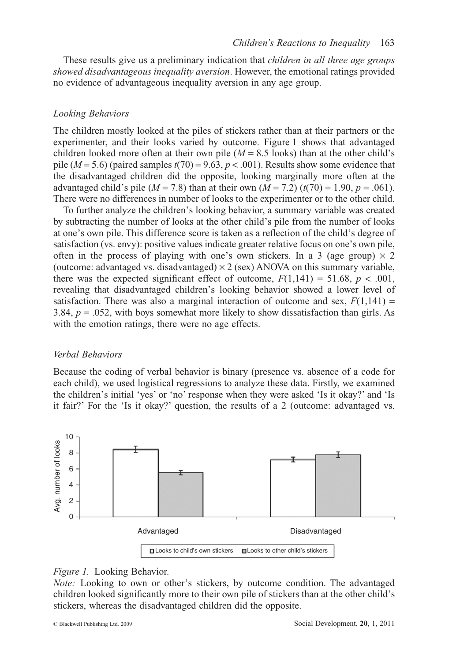These results give us a preliminary indication that *children in all three age groups showed disadvantageous inequality aversion*. However, the emotional ratings provided no evidence of advantageous inequality aversion in any age group.

## *Looking Behaviors*

The children mostly looked at the piles of stickers rather than at their partners or the experimenter, and their looks varied by outcome. Figure 1 shows that advantaged children looked more often at their own pile  $(M = 8.5 \text{ looks})$  than at the other child's pile ( $M = 5.6$ ) (paired samples  $t(70) = 9.63$ ,  $p < .001$ ). Results show some evidence that the disadvantaged children did the opposite, looking marginally more often at the advantaged child's pile ( $M = 7.8$ ) than at their own ( $M = 7.2$ ) ( $t(70) = 1.90$ ,  $p = .061$ ). There were no differences in number of looks to the experimenter or to the other child.

To further analyze the children's looking behavior, a summary variable was created by subtracting the number of looks at the other child's pile from the number of looks at one's own pile. This difference score is taken as a reflection of the child's degree of satisfaction (vs. envy): positive values indicate greater relative focus on one's own pile, often in the process of playing with one's own stickers. In a 3 (age group)  $\times$  2 (outcome: advantaged vs. disadvantaged)  $\times$  2 (sex) ANOVA on this summary variable, there was the expected significant effect of outcome,  $F(1,141) = 51.68$ ,  $p < .001$ , revealing that disadvantaged children's looking behavior showed a lower level of satisfaction. There was also a marginal interaction of outcome and sex,  $F(1,141) =$ 3.84,  $p = 0.052$ , with boys somewhat more likely to show dissatisfaction than girls. As with the emotion ratings, there were no age effects.

## *Verbal Behaviors*

Because the coding of verbal behavior is binary (presence vs. absence of a code for each child), we used logistical regressions to analyze these data. Firstly, we examined the children's initial 'yes' or 'no' response when they were asked 'Is it okay?' and 'Is it fair?' For the 'Is it okay?' question, the results of a 2 (outcome: advantaged vs.



## *Figure 1.* Looking Behavior.

*Note:* Looking to own or other's stickers, by outcome condition. The advantaged children looked significantly more to their own pile of stickers than at the other child's stickers, whereas the disadvantaged children did the opposite.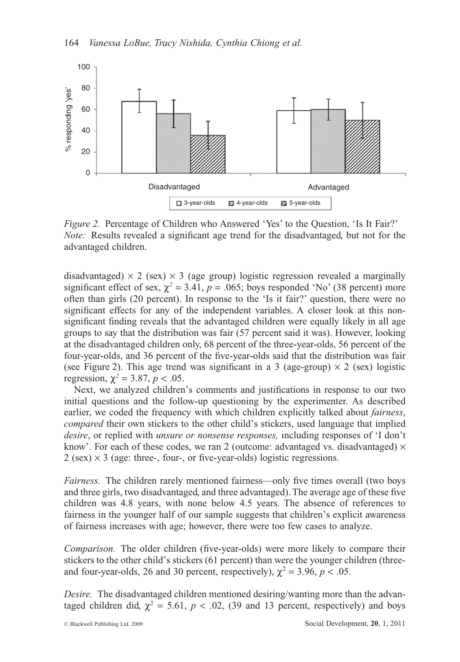

*Figure 2.* Percentage of Children who Answered 'Yes' to the Question, 'Is It Fair?' *Note:* Results revealed a significant age trend for the disadvantaged, but not for the advantaged children.

disadvantaged)  $\times$  2 (sex)  $\times$  3 (age group) logistic regression revealed a marginally significant effect of sex,  $\gamma^2 = 3.41$ ,  $p = .065$ ; boys responded 'No' (38 percent) more often than girls (20 percent). In response to the 'Is it fair?' question, there were no significant effects for any of the independent variables. A closer look at this nonsignificant finding reveals that the advantaged children were equally likely in all age groups to say that the distribution was fair (57 percent said it was). However, looking at the disadvantaged children only, 68 percent of the three-year-olds, 56 percent of the four-year-olds, and 36 percent of the five-year-olds said that the distribution was fair (see Figure 2). This age trend was significant in a 3 (age-group)  $\times$  2 (sex) logistic regression,  $\chi^2 = 3.87$ ,  $p < .05$ .

Next, we analyzed children's comments and justifications in response to our two initial questions and the follow-up questioning by the experimenter. As described earlier, we coded the frequency with which children explicitly talked about *fairness*, *compared* their own stickers to the other child's stickers, used language that implied *desire*, or replied with *unsure or nonsense responses,* including responses of 'I don't know'. For each of these codes, we ran 2 (outcome: advantaged vs. disadvantaged)  $\times$  $2$  (sex)  $\times$  3 (age: three-, four-, or five-year-olds) logistic regressions.

*Fairness.* The children rarely mentioned fairness—only five times overall (two boys and three girls, two disadvantaged, and three advantaged). The average age of these five children was 4.8 years, with none below 4.5 years. The absence of references to fairness in the younger half of our sample suggests that children's explicit awareness of fairness increases with age; however, there were too few cases to analyze.

*Comparison.* The older children (five-year-olds) were more likely to compare their stickers to the other child's stickers (61 percent) than were the younger children (threeand four-year-olds, 26 and 30 percent, respectively),  $\chi^2 = 3.96$ ,  $p < .05$ .

*Desire.* The disadvantaged children mentioned desiring/wanting more than the advantaged children did,  $\chi^2 = 5.61$ ,  $p < .02$ , (39 and 13 percent, respectively) and boys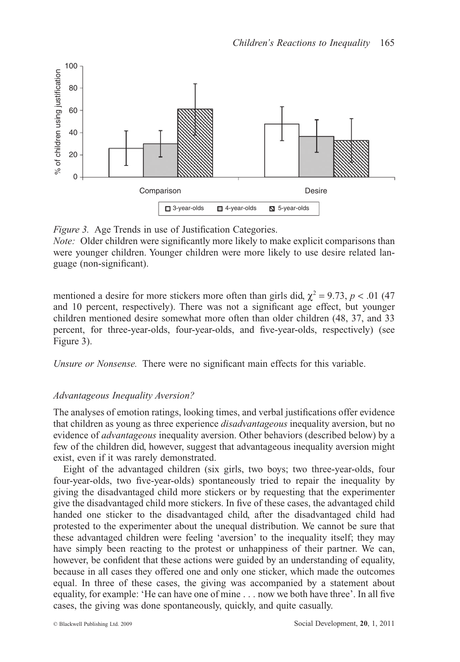

*Figure 3.* Age Trends in use of Justification Categories.

*Note:* Older children were significantly more likely to make explicit comparisons than were younger children. Younger children were more likely to use desire related language (non-significant).

mentioned a desire for more stickers more often than girls did,  $\chi^2 = 9.73$ ,  $p < .01$  (47) and 10 percent, respectively). There was not a significant age effect, but younger children mentioned desire somewhat more often than older children (48, 37, and 33 percent, for three-year-olds, four-year-olds, and five-year-olds, respectively) (see Figure 3).

*Unsure or Nonsense.* There were no significant main effects for this variable.

## *Advantageous Inequality Aversion?*

The analyses of emotion ratings, looking times, and verbal justifications offer evidence that children as young as three experience *disadvantageous* inequality aversion, but no evidence of *advantageous* inequality aversion. Other behaviors (described below) by a few of the children did, however, suggest that advantageous inequality aversion might exist, even if it was rarely demonstrated.

Eight of the advantaged children (six girls, two boys; two three-year-olds, four four-year-olds, two five-year-olds) spontaneously tried to repair the inequality by giving the disadvantaged child more stickers or by requesting that the experimenter give the disadvantaged child more stickers. In five of these cases, the advantaged child handed one sticker to the disadvantaged child, after the disadvantaged child had protested to the experimenter about the unequal distribution. We cannot be sure that these advantaged children were feeling 'aversion' to the inequality itself; they may have simply been reacting to the protest or unhappiness of their partner. We can, however, be confident that these actions were guided by an understanding of equality, because in all cases they offered one and only one sticker, which made the outcomes equal. In three of these cases, the giving was accompanied by a statement about equality, for example: 'He can have one of mine . . . now we both have three'. In all five cases, the giving was done spontaneously, quickly, and quite casually.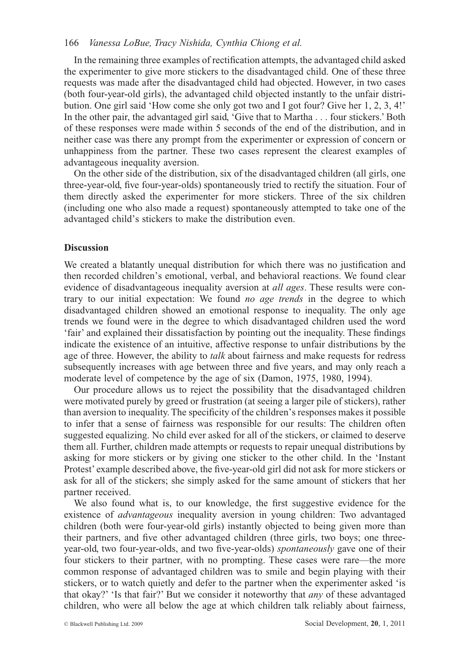In the remaining three examples of rectification attempts, the advantaged child asked the experimenter to give more stickers to the disadvantaged child. One of these three requests was made after the disadvantaged child had objected. However, in two cases (both four-year-old girls), the advantaged child objected instantly to the unfair distribution. One girl said 'How come she only got two and I got four? Give her 1, 2, 3, 4!' In the other pair, the advantaged girl said, 'Give that to Martha... four stickers.' Both of these responses were made within 5 seconds of the end of the distribution, and in neither case was there any prompt from the experimenter or expression of concern or unhappiness from the partner. These two cases represent the clearest examples of advantageous inequality aversion.

On the other side of the distribution, six of the disadvantaged children (all girls, one three-year-old, five four-year-olds) spontaneously tried to rectify the situation. Four of them directly asked the experimenter for more stickers. Three of the six children (including one who also made a request) spontaneously attempted to take one of the advantaged child's stickers to make the distribution even.

## **Discussion**

We created a blatantly unequal distribution for which there was no justification and then recorded children's emotional, verbal, and behavioral reactions. We found clear evidence of disadvantageous inequality aversion at *all ages*. These results were contrary to our initial expectation: We found *no age trends* in the degree to which disadvantaged children showed an emotional response to inequality. The only age trends we found were in the degree to which disadvantaged children used the word 'fair' and explained their dissatisfaction by pointing out the inequality. These findings indicate the existence of an intuitive, affective response to unfair distributions by the age of three. However, the ability to *talk* about fairness and make requests for redress subsequently increases with age between three and five years, and may only reach a moderate level of competence by the age of six (Damon, 1975, 1980, 1994).

Our procedure allows us to reject the possibility that the disadvantaged children were motivated purely by greed or frustration (at seeing a larger pile of stickers), rather than aversion to inequality. The specificity of the children's responses makes it possible to infer that a sense of fairness was responsible for our results: The children often suggested equalizing. No child ever asked for all of the stickers, or claimed to deserve them all. Further, children made attempts or requests to repair unequal distributions by asking for more stickers or by giving one sticker to the other child. In the 'Instant Protest' example described above, the five-year-old girl did not ask for more stickers or ask for all of the stickers; she simply asked for the same amount of stickers that her partner received.

We also found what is, to our knowledge, the first suggestive evidence for the existence of *advantageous* inequality aversion in young children: Two advantaged children (both were four-year-old girls) instantly objected to being given more than their partners, and five other advantaged children (three girls, two boys; one threeyear-old, two four-year-olds, and two five-year-olds) *spontaneously* gave one of their four stickers to their partner, with no prompting. These cases were rare—the more common response of advantaged children was to smile and begin playing with their stickers, or to watch quietly and defer to the partner when the experimenter asked 'is that okay?' 'Is that fair?' But we consider it noteworthy that *any* of these advantaged children, who were all below the age at which children talk reliably about fairness,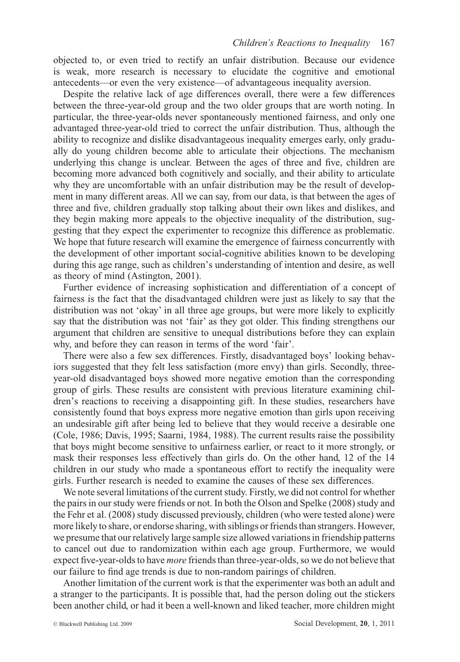objected to, or even tried to rectify an unfair distribution. Because our evidence is weak, more research is necessary to elucidate the cognitive and emotional antecedents—or even the very existence—of advantageous inequality aversion.

Despite the relative lack of age differences overall, there were a few differences between the three-year-old group and the two older groups that are worth noting. In particular, the three-year-olds never spontaneously mentioned fairness, and only one advantaged three-year-old tried to correct the unfair distribution. Thus, although the ability to recognize and dislike disadvantageous inequality emerges early, only gradually do young children become able to articulate their objections. The mechanism underlying this change is unclear. Between the ages of three and five, children are becoming more advanced both cognitively and socially, and their ability to articulate why they are uncomfortable with an unfair distribution may be the result of development in many different areas. All we can say, from our data, is that between the ages of three and five, children gradually stop talking about their own likes and dislikes, and they begin making more appeals to the objective inequality of the distribution, suggesting that they expect the experimenter to recognize this difference as problematic. We hope that future research will examine the emergence of fairness concurrently with the development of other important social-cognitive abilities known to be developing during this age range, such as children's understanding of intention and desire, as well as theory of mind (Astington, 2001).

Further evidence of increasing sophistication and differentiation of a concept of fairness is the fact that the disadvantaged children were just as likely to say that the distribution was not 'okay' in all three age groups, but were more likely to explicitly say that the distribution was not 'fair' as they got older. This finding strengthens our argument that children are sensitive to unequal distributions before they can explain why, and before they can reason in terms of the word 'fair'.

There were also a few sex differences. Firstly, disadvantaged boys' looking behaviors suggested that they felt less satisfaction (more envy) than girls. Secondly, threeyear-old disadvantaged boys showed more negative emotion than the corresponding group of girls. These results are consistent with previous literature examining children's reactions to receiving a disappointing gift. In these studies, researchers have consistently found that boys express more negative emotion than girls upon receiving an undesirable gift after being led to believe that they would receive a desirable one (Cole, 1986; Davis, 1995; Saarni, 1984, 1988). The current results raise the possibility that boys might become sensitive to unfairness earlier, or react to it more strongly, or mask their responses less effectively than girls do. On the other hand, 12 of the 14 children in our study who made a spontaneous effort to rectify the inequality were girls. Further research is needed to examine the causes of these sex differences.

We note several limitations of the current study. Firstly, we did not control for whether the pairs in our study were friends or not. In both the Olson and Spelke (2008) study and the Fehr et al. (2008) study discussed previously, children (who were tested alone) were more likely to share, or endorse sharing, with siblings or friends than strangers. However, we presume that our relatively large sample size allowed variations in friendship patterns to cancel out due to randomization within each age group. Furthermore, we would expect five-year-olds to have *more* friends than three-year-olds, so we do not believe that our failure to find age trends is due to non-random pairings of children.

Another limitation of the current work is that the experimenter was both an adult and a stranger to the participants. It is possible that, had the person doling out the stickers been another child, or had it been a well-known and liked teacher, more children might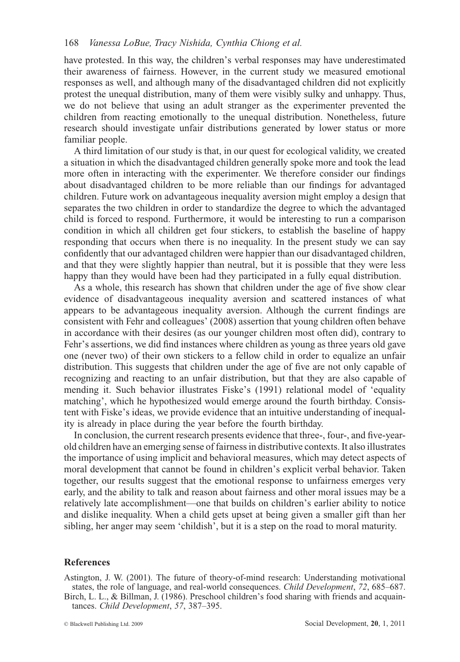have protested. In this way, the children's verbal responses may have underestimated their awareness of fairness. However, in the current study we measured emotional responses as well, and although many of the disadvantaged children did not explicitly protest the unequal distribution, many of them were visibly sulky and unhappy. Thus, we do not believe that using an adult stranger as the experimenter prevented the children from reacting emotionally to the unequal distribution. Nonetheless, future research should investigate unfair distributions generated by lower status or more familiar people.

A third limitation of our study is that, in our quest for ecological validity, we created a situation in which the disadvantaged children generally spoke more and took the lead more often in interacting with the experimenter. We therefore consider our findings about disadvantaged children to be more reliable than our findings for advantaged children. Future work on advantageous inequality aversion might employ a design that separates the two children in order to standardize the degree to which the advantaged child is forced to respond. Furthermore, it would be interesting to run a comparison condition in which all children get four stickers, to establish the baseline of happy responding that occurs when there is no inequality. In the present study we can say confidently that our advantaged children were happier than our disadvantaged children, and that they were slightly happier than neutral, but it is possible that they were less happy than they would have been had they participated in a fully equal distribution.

As a whole, this research has shown that children under the age of five show clear evidence of disadvantageous inequality aversion and scattered instances of what appears to be advantageous inequality aversion. Although the current findings are consistent with Fehr and colleagues' (2008) assertion that young children often behave in accordance with their desires (as our younger children most often did), contrary to Fehr's assertions, we did find instances where children as young as three years old gave one (never two) of their own stickers to a fellow child in order to equalize an unfair distribution. This suggests that children under the age of five are not only capable of recognizing and reacting to an unfair distribution, but that they are also capable of mending it. Such behavior illustrates Fiske's (1991) relational model of 'equality matching', which he hypothesized would emerge around the fourth birthday. Consistent with Fiske's ideas, we provide evidence that an intuitive understanding of inequality is already in place during the year before the fourth birthday.

In conclusion, the current research presents evidence that three-, four-, and five-yearold children have an emerging sense of fairness in distributive contexts. It also illustrates the importance of using implicit and behavioral measures, which may detect aspects of moral development that cannot be found in children's explicit verbal behavior. Taken together, our results suggest that the emotional response to unfairness emerges very early, and the ability to talk and reason about fairness and other moral issues may be a relatively late accomplishment—one that builds on children's earlier ability to notice and dislike inequality. When a child gets upset at being given a smaller gift than her sibling, her anger may seem 'childish', but it is a step on the road to moral maturity.

#### **References**

Astington, J. W. (2001). The future of theory-of-mind research: Understanding motivational states, the role of language, and real-world consequences. *Child Development*, *72*, 685–687. Birch, L. L., & Billman, J. (1986). Preschool children's food sharing with friends and acquain-

tances. *Child Development*, *57*, 387–395.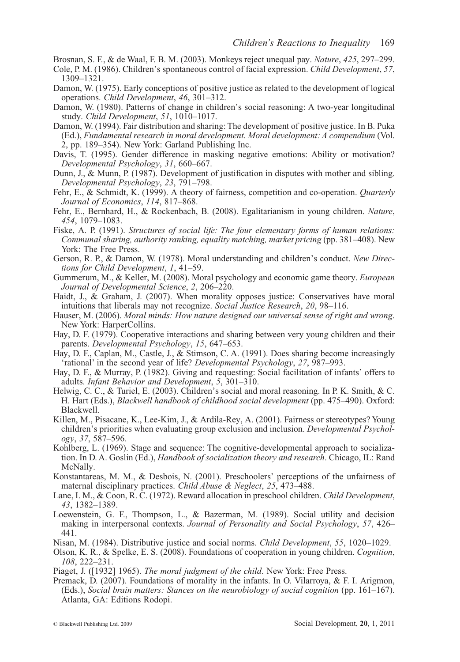Brosnan, S. F., & de Waal, F. B. M. (2003). Monkeys reject unequal pay. *Nature*, *425*, 297–299.

- Cole, P. M. (1986). Children's spontaneous control of facial expression. *Child Development*, *57*, 1309–1321.
- Damon, W. (1975). Early conceptions of positive justice as related to the development of logical operations. *Child Development*, *46*, 301–312.
- Damon, W. (1980). Patterns of change in children's social reasoning: A two-year longitudinal study. *Child Development*, *51*, 1010–1017.
- Damon, W. (1994). Fair distribution and sharing: The development of positive justice. In B. Puka (Ed.), *Fundamental research in moral development. Moral development: A compendium* (Vol. 2, pp. 189–354). New York: Garland Publishing Inc.
- Davis, T. (1995). Gender difference in masking negative emotions: Ability or motivation? *Developmental Psychology*, *31*, 660–667.
- Dunn, J., & Munn, P. (1987). Development of justification in disputes with mother and sibling. *Developmental Psychology*, *23*, 791–798.
- Fehr, E., & Schmidt, K. (1999). A theory of fairness, competition and co-operation. *Quarterly Journal of Economics*, *114*, 817–868.
- Fehr, E., Bernhard, H., & Rockenbach, B. (2008). Egalitarianism in young children. *Nature*, *454*, 1079–1083.
- Fiske, A. P. (1991). *Structures of social life: The four elementary forms of human relations: Communal sharing, authority ranking, equality matching, market pricing* (pp. 381–408). New York: The Free Press.
- Gerson, R. P., & Damon, W. (1978). Moral understanding and children's conduct. *New Directions for Child Development*, *1*, 41–59.
- Gummerum, M., & Keller, M. (2008). Moral psychology and economic game theory. *European Journal of Developmental Science*, *2*, 206–220.
- Haidt, J.,  $\&$  Graham, J. (2007). When morality opposes justice: Conservatives have moral intuitions that liberals may not recognize. *Social Justice Research*, *20*, 98–116.
- Hauser, M. (2006). *Moral minds: How nature designed our universal sense of right and wrong*. New York: HarperCollins.
- Hay, D. F. (1979). Cooperative interactions and sharing between very young children and their parents. *Developmental Psychology*, *15*, 647–653.
- Hay, D. F., Caplan, M., Castle, J., & Stimson, C. A. (1991). Does sharing become increasingly 'rational' in the second year of life? *Developmental Psychology*, *27*, 987–993.
- Hay, D. F., & Murray, P. (1982). Giving and requesting: Social facilitation of infants' offers to adults. *Infant Behavior and Development*, *5*, 301–310.
- Helwig, C. C., & Turiel, E. (2003). Children's social and moral reasoning. In P. K. Smith, & C. H. Hart (Eds.), *Blackwell handbook of childhood social development* (pp. 475–490). Oxford: Blackwell.
- Killen, M., Pisacane, K., Lee-Kim, J., & Ardila-Rey, A. (2001). Fairness or stereotypes? Young children's priorities when evaluating group exclusion and inclusion. *Developmental Psychology*, *37*, 587–596.
- Kohlberg, L. (1969). Stage and sequence: The cognitive-developmental approach to socialization. In D. A. Goslin (Ed.), *Handbook of socialization theory and research*. Chicago, IL: Rand McNally.
- Konstantareas, M. M., & Desbois, N. (2001). Preschoolers' perceptions of the unfairness of maternal disciplinary practices. *Child Abuse & Neglect*, *25*, 473–488.
- Lane, I. M., & Coon, R. C. (1972). Reward allocation in preschool children. *Child Development*, *43*, 1382–1389.
- Loewenstein, G. F., Thompson, L., & Bazerman, M. (1989). Social utility and decision making in interpersonal contexts. *Journal of Personality and Social Psychology*, *57*, 426– 441.
- Nisan, M. (1984). Distributive justice and social norms. *Child Development*, *55*, 1020–1029.
- Olson, K. R., & Spelke, E. S. (2008). Foundations of cooperation in young children. *Cognition*, *108*, 222–231.
- Piaget, J. ([1932] 1965). *The moral judgment of the child*. New York: Free Press.
- Premack, D. (2007). Foundations of morality in the infants. In O. Vilarroya, & F. I. Arigmon, (Eds.), *Social brain matters: Stances on the neurobiology of social cognition* (pp. 161–167). Atlanta, GA: Editions Rodopi.